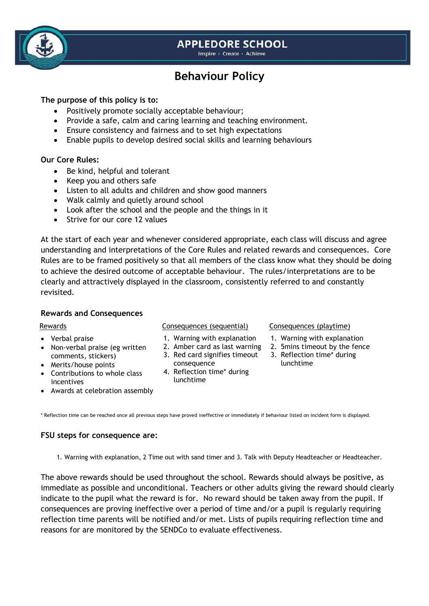## **APPLEDORE SCHOOL**

Inspire - Create - Achieve

# **Behaviour Policy**

### **The purpose of this policy is to:**

- Positively promote socially acceptable behaviour;
- Provide a safe, calm and caring learning and teaching environment.
- Ensure consistency and fairness and to set high expectations
- Enable pupils to develop desired social skills and learning behaviours

#### **Our Core Rules:**

- Be kind, helpful and tolerant
- Keep you and others safe
- Listen to all adults and children and show good manners
- Walk calmly and quietly around school
- Look after the school and the people and the things in it
- Strive for our core 12 values

At the start of each year and whenever considered appropriate, each class will discuss and agree understanding and interpretations of the Core Rules and related rewards and consequences. Core Rules are to be framed positively so that all members of the class know what they should be doing to achieve the desired outcome of acceptable behaviour. The rules/interpretations are to be clearly and attractively displayed in the classroom, consistently referred to and constantly revisited.

#### **Rewards and Consequences**

- Verbal praise
- Non-verbal praise (eg written comments, stickers)
- Merits/house points
- Contributions to whole class incentives
- Awards at celebration assembly

#### Rewards **Consequences (sequential)** Consequences (playtime)

- 1. Warning with explanation
- 2. Amber card as last warning
- 3. Red card signifies timeout consequence
- 4. Reflection time\* during lunchtime

- 1. Warning with explanation
- 2. 5mins timeout by the fence
- 3. Reflection time\* during lunchtime

\* Reflection time can be reached once all previous steps have proved ineffective or immediately if behaviour listed on incident form is displayed.

#### **FSU steps for consequence are:**

1. Warning with explanation, 2 Time out with sand timer and 3. Talk with Deputy Headteacher or Headteacher.

The above rewards should be used throughout the school. Rewards should always be positive, as immediate as possible and unconditional. Teachers or other adults giving the reward should clearly indicate to the pupil what the reward is for. No reward should be taken away from the pupil. If consequences are proving ineffective over a period of time and/or a pupil is regularly requiring reflection time parents will be notified and/or met. Lists of pupils requiring reflection time and reasons for are monitored by the SENDCo to evaluate effectiveness.